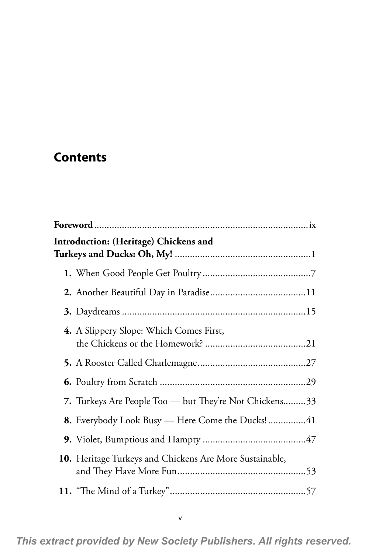## **Contents**

| Introduction: (Heritage) Chickens and                   |  |  |
|---------------------------------------------------------|--|--|
|                                                         |  |  |
|                                                         |  |  |
|                                                         |  |  |
| 4. A Slippery Slope: Which Comes First,                 |  |  |
|                                                         |  |  |
|                                                         |  |  |
| 7. Turkeys Are People Too — but They're Not Chickens33  |  |  |
| <b>8.</b> Everybody Look Busy — Here Come the Ducks!41  |  |  |
|                                                         |  |  |
| 10. Heritage Turkeys and Chickens Are More Sustainable, |  |  |
|                                                         |  |  |

*This extract provided by New Society Publishers. All rights reserved.*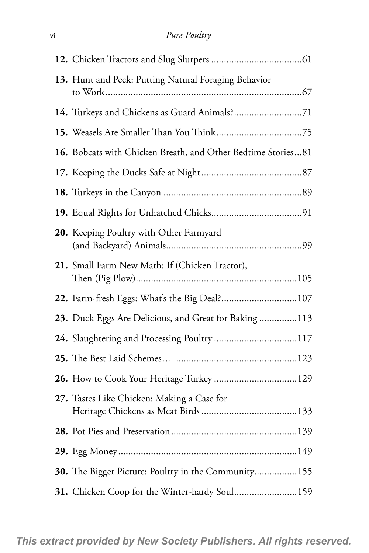| 13. Hunt and Peck: Putting Natural Foraging Behavior         |
|--------------------------------------------------------------|
| 14. Turkeys and Chickens as Guard Animals?71                 |
|                                                              |
| 16. Bobcats with Chicken Breath, and Other Bedtime Stories81 |
|                                                              |
|                                                              |
|                                                              |
| 20. Keeping Poultry with Other Farmyard                      |
| 21. Small Farm New Math: If (Chicken Tractor),               |
| 22. Farm-fresh Eggs: What's the Big Deal? 107                |
| 23. Duck Eggs Are Delicious, and Great for Baking 113        |
| 24. Slaughtering and Processing Poultry117                   |
|                                                              |
|                                                              |
| 27. Tastes Like Chicken: Making a Case for                   |
|                                                              |
|                                                              |
| 30. The Bigger Picture: Poultry in the Community155          |
| 31. Chicken Coop for the Winter-hardy Soul159                |

*This extract provided by New Society Publishers. All rights reserved.*